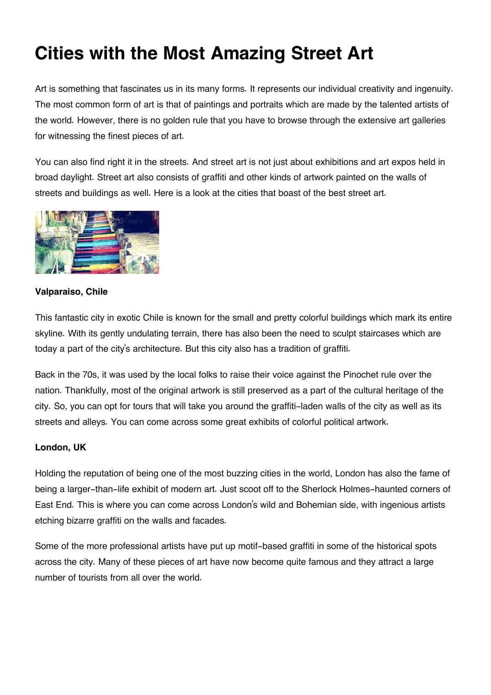# **Cities with the Most Amazing Street Art**

Art is something that fascinates us in its many forms. It represents our individual creativity and ingenuity. The most common form of art is that of paintings and portraits which are made by the talented artists of the world. However, there is no golden rule that you have to browse through the extensive art galleries for witnessing the finest pieces of art.

You can also find right it in the streets. And street art is not just about exhibitions and art expos held in broad daylight. Street art also consists of graffiti and other kinds of artwork painted on the walls of streets and buildings as well. Here is a look at the cities that boast of the best street art.



# **Valparaiso, Chile**

This fantastic city in exotic Chile is known for the small and pretty colorful buildings which mark its entire skyline. With its gently undulating terrain, there has also been the need to sculpt staircases which are today a part of the city's architecture. But this city also has a tradition of graffiti.

Back in the 70s, it was used by the local folks to raise their voice against the Pinochet rule over the nation. Thankfully, most of the original artwork is still preserved as a part of the cultural heritage of the city. So, you can opt for tours that will take you around the graffiti-laden walls of the city as well as its streets and alleys. You can come across some great exhibits of colorful political artwork.

# **London, UK**

Holding the reputation of being one of the most buzzing cities in the world, London has also the fame of being a larger-than-life exhibit of modern art. Just scoot off to the Sherlock Holmes-haunted corners of East End. This is where you can come across London's wild and Bohemian side, with ingenious artists etching bizarre graffiti on the walls and facades.

Some of the more professional artists have put up motif-based graffiti in some of the historical spots across the city. Many of these pieces of art have now become quite famous and they attract a large number of tourists from all over the world.